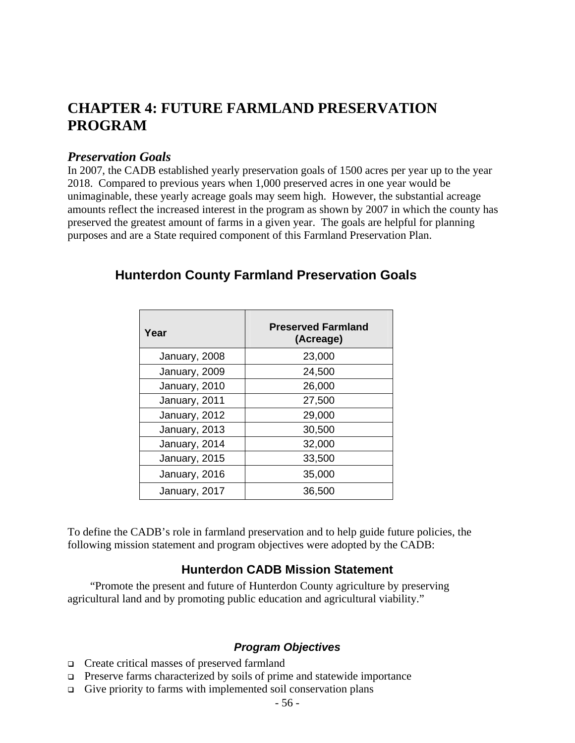# **CHAPTER 4: FUTURE FARMLAND PRESERVATION PROGRAM**

#### *Preservation Goals*

In 2007, the CADB established yearly preservation goals of 1500 acres per year up to the year 2018. Compared to previous years when 1,000 preserved acres in one year would be unimaginable, these yearly acreage goals may seem high. However, the substantial acreage amounts reflect the increased interest in the program as shown by 2007 in which the county has preserved the greatest amount of farms in a given year. The goals are helpful for planning purposes and are a State required component of this Farmland Preservation Plan.

| Year          | <b>Preserved Farmland</b><br>(Acreage) |
|---------------|----------------------------------------|
| January, 2008 | 23,000                                 |
| January, 2009 | 24,500                                 |
| January, 2010 | 26,000                                 |
| January, 2011 | 27,500                                 |
| January, 2012 | 29,000                                 |
| January, 2013 | 30,500                                 |
| January, 2014 | 32,000                                 |
| January, 2015 | 33,500                                 |
| January, 2016 | 35,000                                 |
| January, 2017 | 36,500                                 |

# **Hunterdon County Farmland Preservation Goals**

To define the CADB's role in farmland preservation and to help guide future policies, the following mission statement and program objectives were adopted by the CADB:

# **Hunterdon CADB Mission Statement**

 "Promote the present and future of Hunterdon County agriculture by preserving agricultural land and by promoting public education and agricultural viability."

#### *Program Objectives*

- Create critical masses of preserved farmland
- **Preserve farms characterized by soils of prime and statewide importance**
- $\Box$  Give priority to farms with implemented soil conservation plans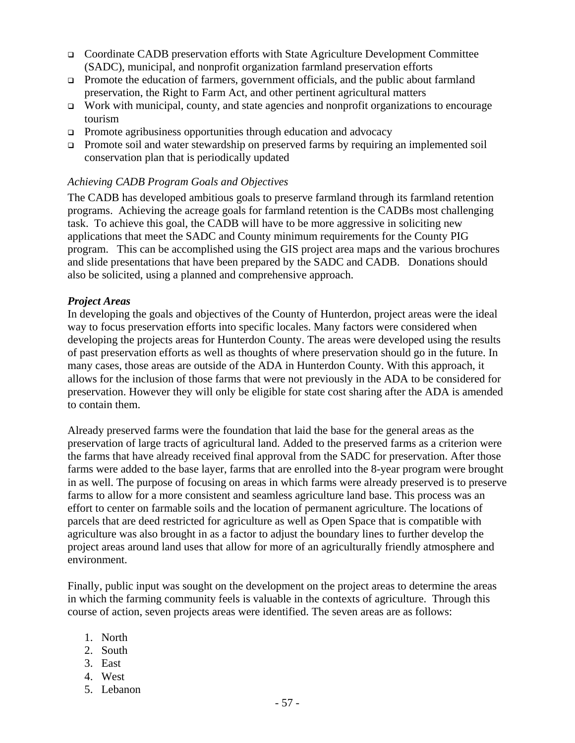- Coordinate CADB preservation efforts with State Agriculture Development Committee (SADC), municipal, and nonprofit organization farmland preservation efforts
- Promote the education of farmers, government officials, and the public about farmland preservation, the Right to Farm Act, and other pertinent agricultural matters
- Work with municipal, county, and state agencies and nonprofit organizations to encourage tourism
- **Promote agribusiness opportunities through education and advocacy**
- □ Promote soil and water stewardship on preserved farms by requiring an implemented soil conservation plan that is periodically updated

#### *Achieving CADB Program Goals and Objectives*

The CADB has developed ambitious goals to preserve farmland through its farmland retention programs. Achieving the acreage goals for farmland retention is the CADBs most challenging task. To achieve this goal, the CADB will have to be more aggressive in soliciting new applications that meet the SADC and County minimum requirements for the County PIG program. This can be accomplished using the GIS project area maps and the various brochures and slide presentations that have been prepared by the SADC and CADB. Donations should also be solicited, using a planned and comprehensive approach.

#### *Project Areas*

In developing the goals and objectives of the County of Hunterdon, project areas were the ideal way to focus preservation efforts into specific locales. Many factors were considered when developing the projects areas for Hunterdon County. The areas were developed using the results of past preservation efforts as well as thoughts of where preservation should go in the future. In many cases, those areas are outside of the ADA in Hunterdon County. With this approach, it allows for the inclusion of those farms that were not previously in the ADA to be considered for preservation. However they will only be eligible for state cost sharing after the ADA is amended to contain them.

Already preserved farms were the foundation that laid the base for the general areas as the preservation of large tracts of agricultural land. Added to the preserved farms as a criterion were the farms that have already received final approval from the SADC for preservation. After those farms were added to the base layer, farms that are enrolled into the 8-year program were brought in as well. The purpose of focusing on areas in which farms were already preserved is to preserve farms to allow for a more consistent and seamless agriculture land base. This process was an effort to center on farmable soils and the location of permanent agriculture. The locations of parcels that are deed restricted for agriculture as well as Open Space that is compatible with agriculture was also brought in as a factor to adjust the boundary lines to further develop the project areas around land uses that allow for more of an agriculturally friendly atmosphere and environment.

Finally, public input was sought on the development on the project areas to determine the areas in which the farming community feels is valuable in the contexts of agriculture. Through this course of action, seven projects areas were identified. The seven areas are as follows:

- 1. North
- 2. South
- 3. East
- 4. West
- 5. Lebanon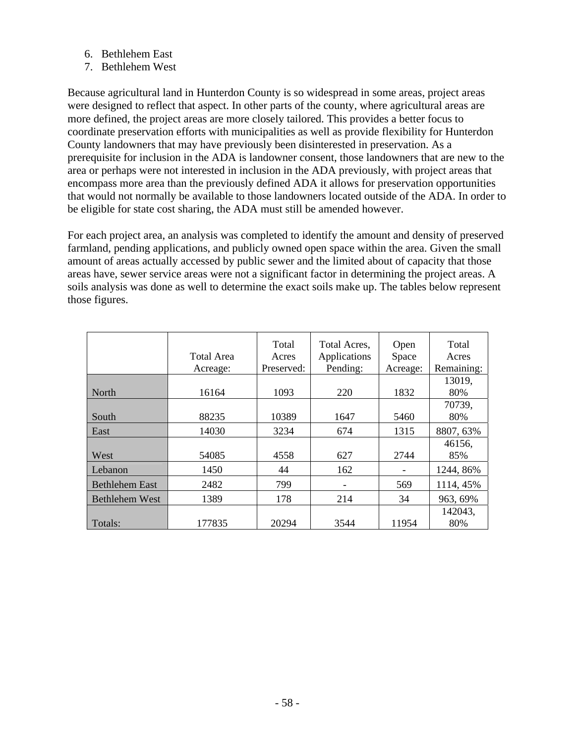- 6. Bethlehem East
- 7. Bethlehem West

Because agricultural land in Hunterdon County is so widespread in some areas, project areas were designed to reflect that aspect. In other parts of the county, where agricultural areas are more defined, the project areas are more closely tailored. This provides a better focus to coordinate preservation efforts with municipalities as well as provide flexibility for Hunterdon County landowners that may have previously been disinterested in preservation. As a prerequisite for inclusion in the ADA is landowner consent, those landowners that are new to the area or perhaps were not interested in inclusion in the ADA previously, with project areas that encompass more area than the previously defined ADA it allows for preservation opportunities that would not normally be available to those landowners located outside of the ADA. In order to be eligible for state cost sharing, the ADA must still be amended however.

For each project area, an analysis was completed to identify the amount and density of preserved farmland, pending applications, and publicly owned open space within the area. Given the small amount of areas actually accessed by public sewer and the limited about of capacity that those areas have, sewer service areas were not a significant factor in determining the project areas. A soils analysis was done as well to determine the exact soils make up. The tables below represent those figures.

|                       | Total Area<br>Acreage: | Total<br>Acres<br>Preserved: | Total Acres,<br>Applications<br>Pending: | Open<br>Space<br>Acreage: | Total<br>Acres<br>Remaining: |
|-----------------------|------------------------|------------------------------|------------------------------------------|---------------------------|------------------------------|
| North                 | 16164                  | 1093                         | 220                                      | 1832                      | 13019,<br>80%                |
| South                 | 88235                  | 10389                        | 1647                                     | 5460                      | 70739,<br>80%                |
| East                  | 14030                  | 3234                         | 674                                      | 1315                      | 8807, 63%                    |
| West                  | 54085                  | 4558                         | 627                                      | 2744                      | 46156,<br>85%                |
| Lebanon               | 1450                   | 44                           | 162                                      |                           | 1244, 86%                    |
| <b>Bethlehem East</b> | 2482                   | 799                          |                                          | 569                       | 1114, 45%                    |
| <b>Bethlehem West</b> | 1389                   | 178                          | 214                                      | 34                        | 963, 69%                     |
| Totals:               | 177835                 | 20294                        | 3544                                     | 11954                     | 142043,<br>80%               |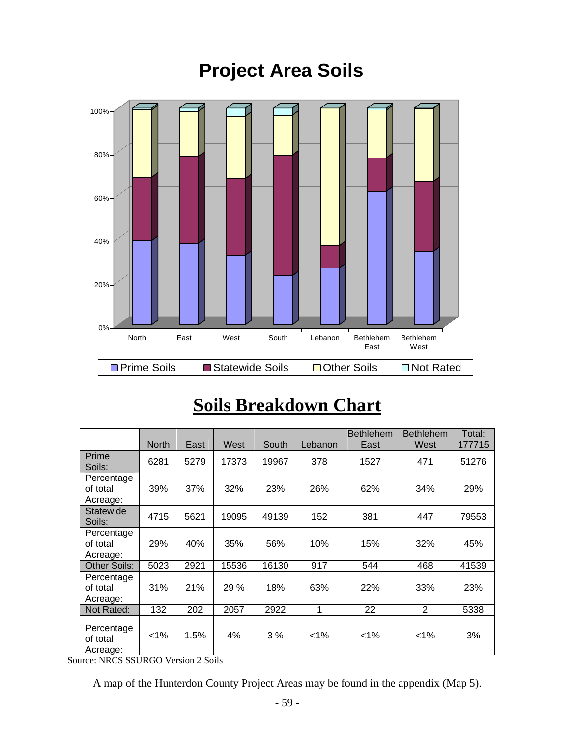# **Project Area Soils**



# **Soils Breakdown Chart**

|                                    | <b>North</b> | East | West  | South | Lebanon | <b>Bethlehem</b><br>East | <b>Bethlehem</b><br>West | Total:<br>177715 |
|------------------------------------|--------------|------|-------|-------|---------|--------------------------|--------------------------|------------------|
| Prime<br>Soils:                    | 6281         | 5279 | 17373 | 19967 | 378     | 1527                     | 471                      | 51276            |
| Percentage<br>of total<br>Acreage: | 39%          | 37%  | 32%   | 23%   | 26%     | 62%                      | 34%                      | 29%              |
| Statewide<br>Soils:                | 4715         | 5621 | 19095 | 49139 | 152     | 381                      | 447                      | 79553            |
| Percentage<br>of total<br>Acreage: | 29%          | 40%  | 35%   | 56%   | 10%     | 15%                      | 32%                      | 45%              |
| <b>Other Soils:</b>                | 5023         | 2921 | 15536 | 16130 | 917     | 544                      | 468                      | 41539            |
| Percentage<br>of total<br>Acreage: | 31%          | 21%  | 29 %  | 18%   | 63%     | 22%                      | 33%                      | 23%              |
| Not Rated:                         | 132          | 202  | 2057  | 2922  | 1       | 22                       | 2                        | 5338             |
| Percentage<br>of total<br>Acreage: | 1%           | 1.5% | 4%    | 3%    | $< 1\%$ | $1\%$                    | $1\%$                    | 3%               |

Source: NRCS SSURGO Version 2 Soils

A map of the Hunterdon County Project Areas may be found in the appendix (Map 5).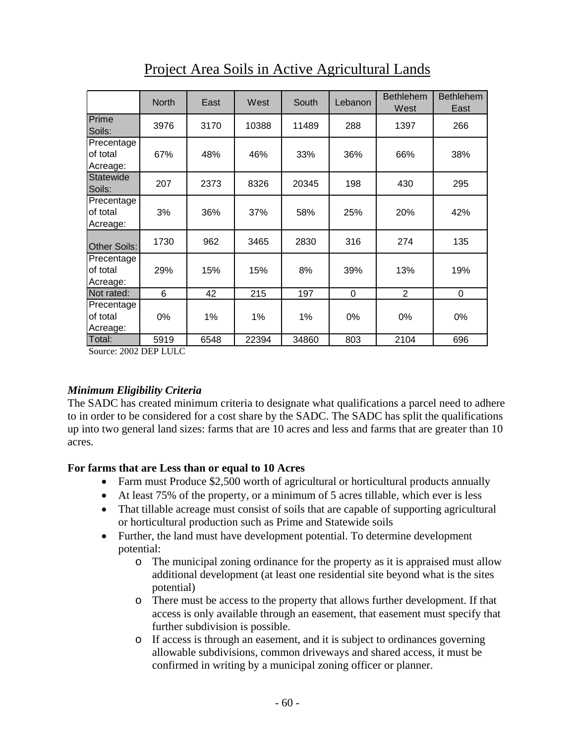|                                             | <b>North</b> | East | West  | South | Lebanon | <b>Bethlehem</b><br>West | <b>Bethlehem</b><br>East |
|---------------------------------------------|--------------|------|-------|-------|---------|--------------------------|--------------------------|
| Prime<br>Soils:                             | 3976         | 3170 | 10388 | 11489 | 288     | 1397                     | 266                      |
| Precentage<br><b>l</b> of total<br>Acreage: | 67%          | 48%  | 46%   | 33%   | 36%     | 66%                      | 38%                      |
| <b>I</b> Statewide<br>Soils:                | 207          | 2373 | 8326  | 20345 | 198     | 430                      | 295                      |
| Precentage<br>of total<br>Acreage:          | 3%           | 36%  | 37%   | 58%   | 25%     | 20%                      | 42%                      |
| Other Soils:                                | 1730         | 962  | 3465  | 2830  | 316     | 274                      | 135                      |
| Precentage<br>of total<br>Acreage:          | 29%          | 15%  | 15%   | 8%    | 39%     | 13%                      | 19%                      |
| Not rated:                                  | 6            | 42   | 215   | 197   | 0       | $\overline{2}$           | $\boldsymbol{0}$         |
| Precentage<br>of total<br>Acreage:          | 0%           | 1%   | 1%    | 1%    | 0%      | 0%                       | 0%                       |
| Total:                                      | 5919         | 6548 | 22394 | 34860 | 803     | 2104                     | 696                      |

Project Area Soils in Active Agricultural Lands

Source: 2002 DEP LULC

#### *Minimum Eligibility Criteria*

The SADC has created minimum criteria to designate what qualifications a parcel need to adhere to in order to be considered for a cost share by the SADC. The SADC has split the qualifications up into two general land sizes: farms that are 10 acres and less and farms that are greater than 10 acres.

#### **For farms that are Less than or equal to 10 Acres**

- Farm must Produce \$2,500 worth of agricultural or horticultural products annually
- At least 75% of the property, or a minimum of 5 acres tillable, which ever is less
- That tillable acreage must consist of soils that are capable of supporting agricultural or horticultural production such as Prime and Statewide soils
- Further, the land must have development potential. To determine development potential:
	- o The municipal zoning ordinance for the property as it is appraised must allow additional development (at least one residential site beyond what is the sites potential)
	- o There must be access to the property that allows further development. If that access is only available through an easement, that easement must specify that further subdivision is possible.
	- o If access is through an easement, and it is subject to ordinances governing allowable subdivisions, common driveways and shared access, it must be confirmed in writing by a municipal zoning officer or planner.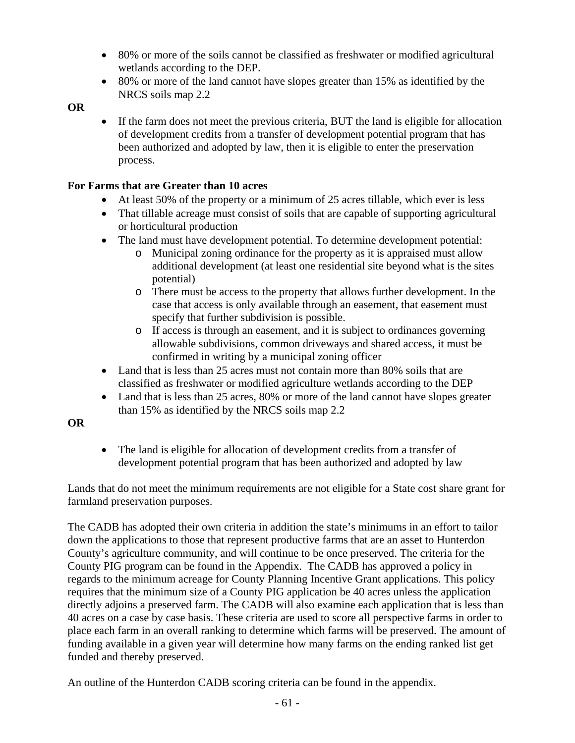- 80% or more of the soils cannot be classified as freshwater or modified agricultural wetlands according to the DEP.
- 80% or more of the land cannot have slopes greater than 15% as identified by the NRCS soils map 2.2

#### **OR**

• If the farm does not meet the previous criteria, BUT the land is eligible for allocation of development credits from a transfer of development potential program that has been authorized and adopted by law, then it is eligible to enter the preservation process.

#### **For Farms that are Greater than 10 acres**

- At least 50% of the property or a minimum of 25 acres tillable, which ever is less
- That tillable acreage must consist of soils that are capable of supporting agricultural or horticultural production
- The land must have development potential. To determine development potential:
	- o Municipal zoning ordinance for the property as it is appraised must allow additional development (at least one residential site beyond what is the sites potential)
	- o There must be access to the property that allows further development. In the case that access is only available through an easement, that easement must specify that further subdivision is possible.
	- o If access is through an easement, and it is subject to ordinances governing allowable subdivisions, common driveways and shared access, it must be confirmed in writing by a municipal zoning officer
- Land that is less than 25 acres must not contain more than 80% soils that are classified as freshwater or modified agriculture wetlands according to the DEP
- Land that is less than 25 acres, 80% or more of the land cannot have slopes greater than 15% as identified by the NRCS soils map 2.2

# **OR**

• The land is eligible for allocation of development credits from a transfer of development potential program that has been authorized and adopted by law

Lands that do not meet the minimum requirements are not eligible for a State cost share grant for farmland preservation purposes.

The CADB has adopted their own criteria in addition the state's minimums in an effort to tailor down the applications to those that represent productive farms that are an asset to Hunterdon County's agriculture community, and will continue to be once preserved. The criteria for the County PIG program can be found in the Appendix. The CADB has approved a policy in regards to the minimum acreage for County Planning Incentive Grant applications. This policy requires that the minimum size of a County PIG application be 40 acres unless the application directly adjoins a preserved farm. The CADB will also examine each application that is less than 40 acres on a case by case basis. These criteria are used to score all perspective farms in order to place each farm in an overall ranking to determine which farms will be preserved. The amount of funding available in a given year will determine how many farms on the ending ranked list get funded and thereby preserved.

An outline of the Hunterdon CADB scoring criteria can be found in the appendix.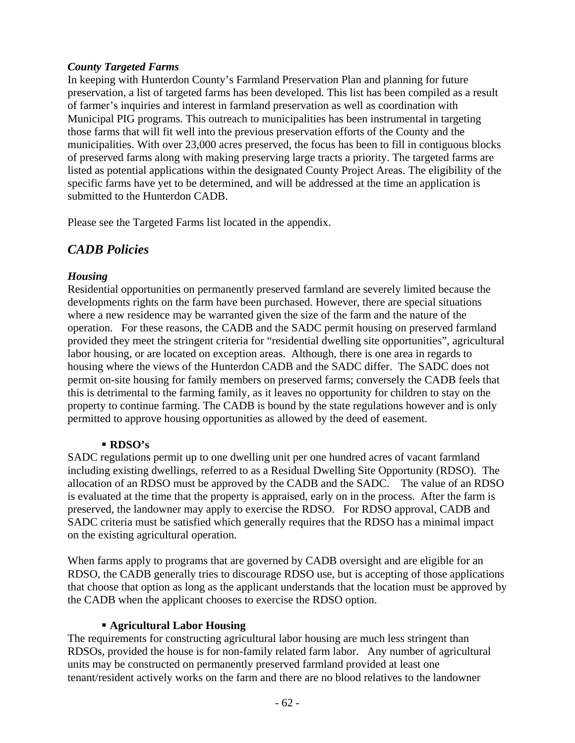#### *County Targeted Farms*

In keeping with Hunterdon County's Farmland Preservation Plan and planning for future preservation, a list of targeted farms has been developed. This list has been compiled as a result of farmer's inquiries and interest in farmland preservation as well as coordination with Municipal PIG programs. This outreach to municipalities has been instrumental in targeting those farms that will fit well into the previous preservation efforts of the County and the municipalities. With over 23,000 acres preserved, the focus has been to fill in contiguous blocks of preserved farms along with making preserving large tracts a priority. The targeted farms are listed as potential applications within the designated County Project Areas. The eligibility of the specific farms have yet to be determined, and will be addressed at the time an application is submitted to the Hunterdon CADB.

Please see the Targeted Farms list located in the appendix.

# *CADB Policies*

#### *Housing*

Residential opportunities on permanently preserved farmland are severely limited because the developments rights on the farm have been purchased. However, there are special situations where a new residence may be warranted given the size of the farm and the nature of the operation. For these reasons, the CADB and the SADC permit housing on preserved farmland provided they meet the stringent criteria for "residential dwelling site opportunities", agricultural labor housing, or are located on exception areas. Although, there is one area in regards to housing where the views of the Hunterdon CADB and the SADC differ. The SADC does not permit on-site housing for family members on preserved farms; conversely the CADB feels that this is detrimental to the farming family, as it leaves no opportunity for children to stay on the property to continue farming. The CADB is bound by the state regulations however and is only permitted to approve housing opportunities as allowed by the deed of easement.

#### **RDSO's**

SADC regulations permit up to one dwelling unit per one hundred acres of vacant farmland including existing dwellings, referred to as a Residual Dwelling Site Opportunity (RDSO). The allocation of an RDSO must be approved by the CADB and the SADC. The value of an RDSO is evaluated at the time that the property is appraised, early on in the process. After the farm is preserved, the landowner may apply to exercise the RDSO. For RDSO approval, CADB and SADC criteria must be satisfied which generally requires that the RDSO has a minimal impact on the existing agricultural operation.

When farms apply to programs that are governed by CADB oversight and are eligible for an RDSO, the CADB generally tries to discourage RDSO use, but is accepting of those applications that choose that option as long as the applicant understands that the location must be approved by the CADB when the applicant chooses to exercise the RDSO option.

#### **Agricultural Labor Housing**

The requirements for constructing agricultural labor housing are much less stringent than RDSOs, provided the house is for non-family related farm labor. Any number of agricultural units may be constructed on permanently preserved farmland provided at least one tenant/resident actively works on the farm and there are no blood relatives to the landowner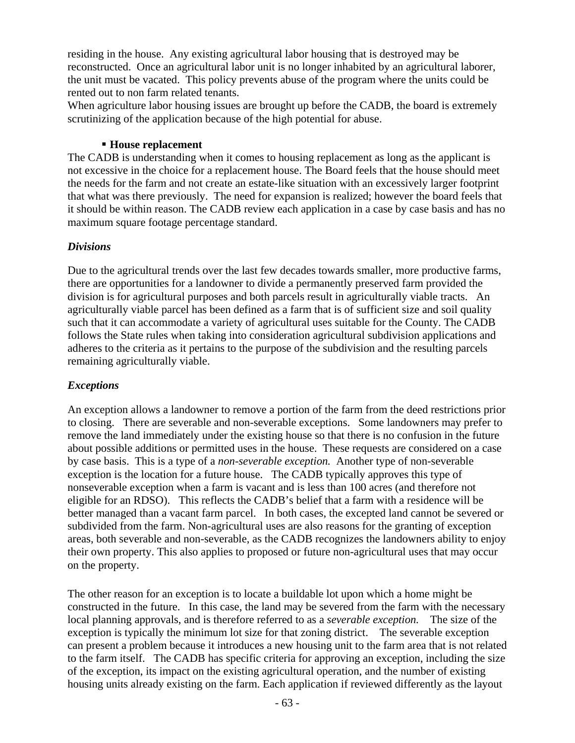residing in the house. Any existing agricultural labor housing that is destroyed may be reconstructed. Once an agricultural labor unit is no longer inhabited by an agricultural laborer, the unit must be vacated. This policy prevents abuse of the program where the units could be rented out to non farm related tenants.

When agriculture labor housing issues are brought up before the CADB, the board is extremely scrutinizing of the application because of the high potential for abuse.

#### **House replacement**

The CADB is understanding when it comes to housing replacement as long as the applicant is not excessive in the choice for a replacement house. The Board feels that the house should meet the needs for the farm and not create an estate-like situation with an excessively larger footprint that what was there previously. The need for expansion is realized; however the board feels that it should be within reason. The CADB review each application in a case by case basis and has no maximum square footage percentage standard.

#### *Divisions*

Due to the agricultural trends over the last few decades towards smaller, more productive farms, there are opportunities for a landowner to divide a permanently preserved farm provided the division is for agricultural purposes and both parcels result in agriculturally viable tracts. An agriculturally viable parcel has been defined as a farm that is of sufficient size and soil quality such that it can accommodate a variety of agricultural uses suitable for the County. The CADB follows the State rules when taking into consideration agricultural subdivision applications and adheres to the criteria as it pertains to the purpose of the subdivision and the resulting parcels remaining agriculturally viable.

#### *Exceptions*

An exception allows a landowner to remove a portion of the farm from the deed restrictions prior to closing. There are severable and non-severable exceptions. Some landowners may prefer to remove the land immediately under the existing house so that there is no confusion in the future about possible additions or permitted uses in the house. These requests are considered on a case by case basis. This is a type of a *non-severable exception.* Another type of non-severable exception is the location for a future house. The CADB typically approves this type of nonseverable exception when a farm is vacant and is less than 100 acres (and therefore not eligible for an RDSO). This reflects the CADB's belief that a farm with a residence will be better managed than a vacant farm parcel. In both cases, the excepted land cannot be severed or subdivided from the farm. Non-agricultural uses are also reasons for the granting of exception areas, both severable and non-severable, as the CADB recognizes the landowners ability to enjoy their own property. This also applies to proposed or future non-agricultural uses that may occur on the property.

The other reason for an exception is to locate a buildable lot upon which a home might be constructed in the future. In this case, the land may be severed from the farm with the necessary local planning approvals, and is therefore referred to as a *severable exception.* The size of the exception is typically the minimum lot size for that zoning district. The severable exception can present a problem because it introduces a new housing unit to the farm area that is not related to the farm itself. The CADB has specific criteria for approving an exception, including the size of the exception, its impact on the existing agricultural operation, and the number of existing housing units already existing on the farm. Each application if reviewed differently as the layout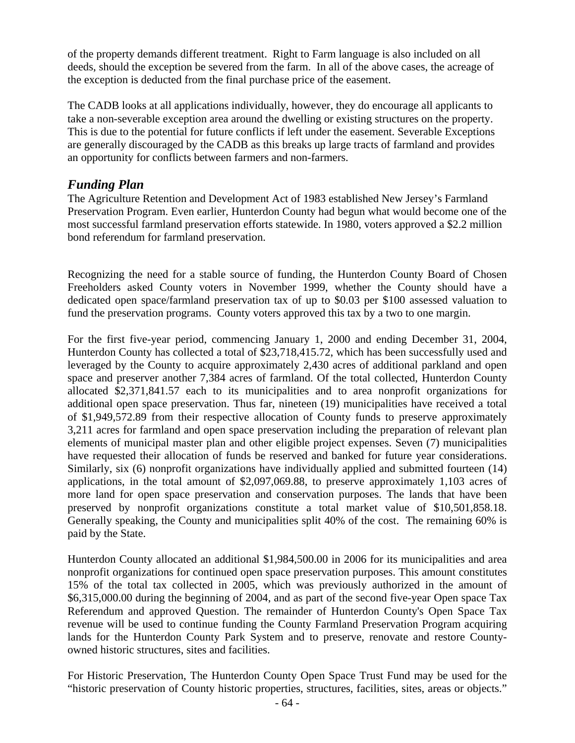of the property demands different treatment. Right to Farm language is also included on all deeds, should the exception be severed from the farm. In all of the above cases, the acreage of the exception is deducted from the final purchase price of the easement.

The CADB looks at all applications individually, however, they do encourage all applicants to take a non-severable exception area around the dwelling or existing structures on the property. This is due to the potential for future conflicts if left under the easement. Severable Exceptions are generally discouraged by the CADB as this breaks up large tracts of farmland and provides an opportunity for conflicts between farmers and non-farmers.

# *Funding Plan*

The Agriculture Retention and Development Act of 1983 established New Jersey's Farmland Preservation Program. Even earlier, Hunterdon County had begun what would become one of the most successful farmland preservation efforts statewide. In 1980, voters approved a \$2.2 million bond referendum for farmland preservation.

Recognizing the need for a stable source of funding, the Hunterdon County Board of Chosen Freeholders asked County voters in November 1999, whether the County should have a dedicated open space/farmland preservation tax of up to \$0.03 per \$100 assessed valuation to fund the preservation programs. County voters approved this tax by a two to one margin.

For the first five-year period, commencing January 1, 2000 and ending December 31, 2004, Hunterdon County has collected a total of \$23,718,415.72, which has been successfully used and leveraged by the County to acquire approximately 2,430 acres of additional parkland and open space and preserver another 7,384 acres of farmland. Of the total collected, Hunterdon County allocated \$2,371,841.57 each to its municipalities and to area nonprofit organizations for additional open space preservation. Thus far, nineteen (19) municipalities have received a total of \$1,949,572.89 from their respective allocation of County funds to preserve approximately 3,211 acres for farmland and open space preservation including the preparation of relevant plan elements of municipal master plan and other eligible project expenses. Seven (7) municipalities have requested their allocation of funds be reserved and banked for future year considerations. Similarly, six (6) nonprofit organizations have individually applied and submitted fourteen (14) applications, in the total amount of \$2,097,069.88, to preserve approximately 1,103 acres of more land for open space preservation and conservation purposes. The lands that have been preserved by nonprofit organizations constitute a total market value of \$10,501,858.18. Generally speaking, the County and municipalities split 40% of the cost. The remaining 60% is paid by the State.

Hunterdon County allocated an additional \$1,984,500.00 in 2006 for its municipalities and area nonprofit organizations for continued open space preservation purposes. This amount constitutes 15% of the total tax collected in 2005, which was previously authorized in the amount of \$6,315,000.00 during the beginning of 2004, and as part of the second five-year Open space Tax Referendum and approved Question. The remainder of Hunterdon County's Open Space Tax revenue will be used to continue funding the County Farmland Preservation Program acquiring lands for the Hunterdon County Park System and to preserve, renovate and restore Countyowned historic structures, sites and facilities.

For Historic Preservation, The Hunterdon County Open Space Trust Fund may be used for the "historic preservation of County historic properties, structures, facilities, sites, areas or objects."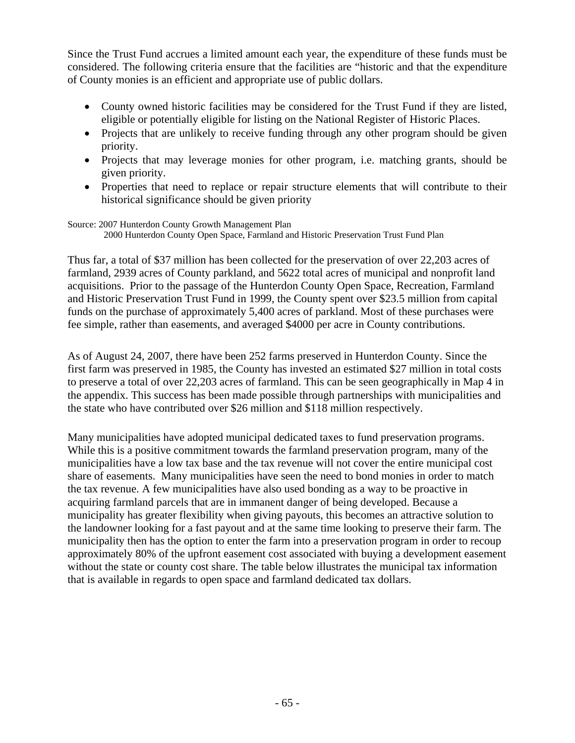Since the Trust Fund accrues a limited amount each year, the expenditure of these funds must be considered. The following criteria ensure that the facilities are "historic and that the expenditure of County monies is an efficient and appropriate use of public dollars.

- County owned historic facilities may be considered for the Trust Fund if they are listed, eligible or potentially eligible for listing on the National Register of Historic Places.
- Projects that are unlikely to receive funding through any other program should be given priority.
- Projects that may leverage monies for other program, i.e. matching grants, should be given priority.
- Properties that need to replace or repair structure elements that will contribute to their historical significance should be given priority

#### Source: 2007 Hunterdon County Growth Management Plan 2000 Hunterdon County Open Space, Farmland and Historic Preservation Trust Fund Plan

Thus far, a total of \$37 million has been collected for the preservation of over 22,203 acres of farmland, 2939 acres of County parkland, and 5622 total acres of municipal and nonprofit land acquisitions. Prior to the passage of the Hunterdon County Open Space, Recreation, Farmland and Historic Preservation Trust Fund in 1999, the County spent over \$23.5 million from capital funds on the purchase of approximately 5,400 acres of parkland. Most of these purchases were fee simple, rather than easements, and averaged \$4000 per acre in County contributions.

As of August 24, 2007, there have been 252 farms preserved in Hunterdon County. Since the first farm was preserved in 1985, the County has invested an estimated \$27 million in total costs to preserve a total of over 22,203 acres of farmland. This can be seen geographically in Map 4 in the appendix. This success has been made possible through partnerships with municipalities and the state who have contributed over \$26 million and \$118 million respectively.

Many municipalities have adopted municipal dedicated taxes to fund preservation programs. While this is a positive commitment towards the farmland preservation program, many of the municipalities have a low tax base and the tax revenue will not cover the entire municipal cost share of easements. Many municipalities have seen the need to bond monies in order to match the tax revenue. A few municipalities have also used bonding as a way to be proactive in acquiring farmland parcels that are in immanent danger of being developed. Because a municipality has greater flexibility when giving payouts, this becomes an attractive solution to the landowner looking for a fast payout and at the same time looking to preserve their farm. The municipality then has the option to enter the farm into a preservation program in order to recoup approximately 80% of the upfront easement cost associated with buying a development easement without the state or county cost share. The table below illustrates the municipal tax information that is available in regards to open space and farmland dedicated tax dollars.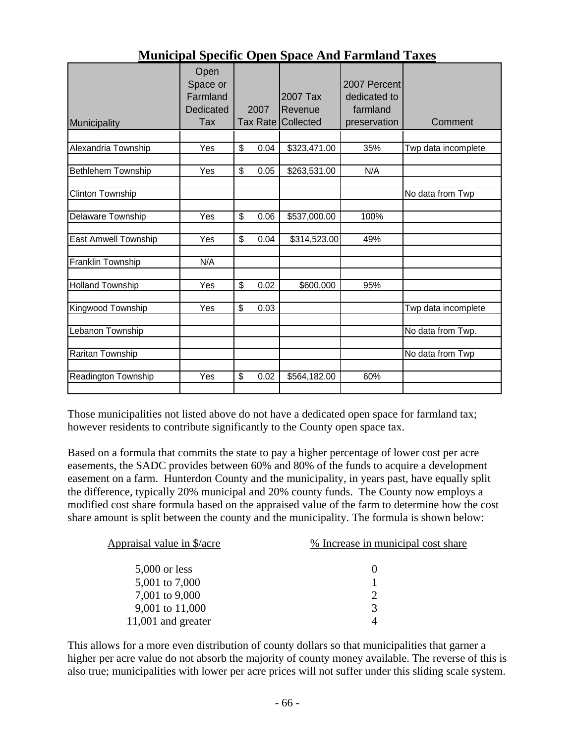| Municipality               | Open<br>Space or<br>Farmland<br>Dedicated<br>Tax | 2007       | 2007 Tax<br>Revenue<br>Tax Rate Collected | 2007 Percent<br>dedicated to<br>farmland<br>preservation | Comment             |
|----------------------------|--------------------------------------------------|------------|-------------------------------------------|----------------------------------------------------------|---------------------|
|                            |                                                  |            |                                           |                                                          |                     |
| Alexandria Township        | Yes                                              | \$<br>0.04 | \$323,471.00                              | 35%                                                      | Twp data incomplete |
| Bethlehem Township         | Yes                                              | \$<br>0.05 | \$263,531.00                              | N/A                                                      |                     |
|                            |                                                  |            |                                           |                                                          |                     |
| Clinton Township           |                                                  |            |                                           |                                                          | No data from Twp    |
| Delaware Township          | Yes                                              | \$<br>0.06 | \$537,000.00                              | 100%                                                     |                     |
| East Amwell Township       | Yes                                              | \$<br>0.04 | \$314,523.00                              | 49%                                                      |                     |
| Franklin Township          | N/A                                              |            |                                           |                                                          |                     |
|                            |                                                  |            |                                           |                                                          |                     |
| <b>Holland Township</b>    | Yes                                              | \$<br>0.02 | \$600,000                                 | 95%                                                      |                     |
| Kingwood Township          | Yes                                              | \$<br>0.03 |                                           |                                                          | Twp data incomplete |
|                            |                                                  |            |                                           |                                                          |                     |
| Lebanon Township           |                                                  |            |                                           |                                                          | No data from Twp.   |
| Raritan Township           |                                                  |            |                                           |                                                          | No data from Twp    |
|                            |                                                  |            |                                           |                                                          |                     |
| <b>Readington Township</b> | Yes                                              | \$<br>0.02 | \$564,182.00                              | 60%                                                      |                     |
|                            |                                                  |            |                                           |                                                          |                     |

# **Municipal Specific Open Space And Farmland Taxes**

Those municipalities not listed above do not have a dedicated open space for farmland tax; however residents to contribute significantly to the County open space tax.

Based on a formula that commits the state to pay a higher percentage of lower cost per acre easements, the SADC provides between 60% and 80% of the funds to acquire a development easement on a farm. Hunterdon County and the municipality, in years past, have equally split the difference, typically 20% municipal and 20% county funds. The County now employs a modified cost share formula based on the appraised value of the farm to determine how the cost share amount is split between the county and the municipality. The formula is shown below:

| Appraisal value in \$/acre | % Increase in municipal cost share |
|----------------------------|------------------------------------|
| $5,000$ or less            |                                    |
| 5,001 to 7,000             |                                    |
| 7,001 to 9,000             |                                    |
| 9,001 to 11,000            | $\mathcal{R}$                      |
| 11,001 and greater         |                                    |

This allows for a more even distribution of county dollars so that municipalities that garner a higher per acre value do not absorb the majority of county money available. The reverse of this is also true; municipalities with lower per acre prices will not suffer under this sliding scale system.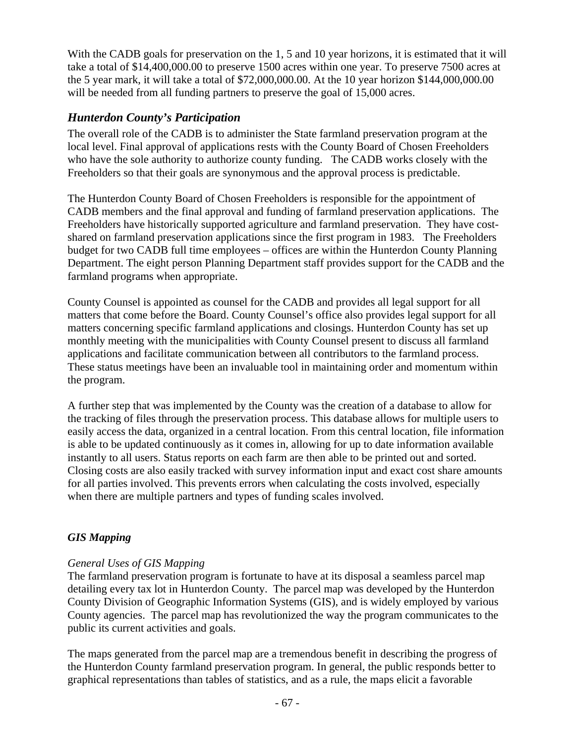With the CADB goals for preservation on the 1, 5 and 10 year horizons, it is estimated that it will take a total of \$14,400,000.00 to preserve 1500 acres within one year. To preserve 7500 acres at the 5 year mark, it will take a total of \$72,000,000.00. At the 10 year horizon \$144,000,000.00 will be needed from all funding partners to preserve the goal of 15,000 acres.

# *Hunterdon County's Participation*

The overall role of the CADB is to administer the State farmland preservation program at the local level. Final approval of applications rests with the County Board of Chosen Freeholders who have the sole authority to authorize county funding. The CADB works closely with the Freeholders so that their goals are synonymous and the approval process is predictable.

The Hunterdon County Board of Chosen Freeholders is responsible for the appointment of CADB members and the final approval and funding of farmland preservation applications. The Freeholders have historically supported agriculture and farmland preservation. They have costshared on farmland preservation applications since the first program in 1983. The Freeholders budget for two CADB full time employees – offices are within the Hunterdon County Planning Department. The eight person Planning Department staff provides support for the CADB and the farmland programs when appropriate.

County Counsel is appointed as counsel for the CADB and provides all legal support for all matters that come before the Board. County Counsel's office also provides legal support for all matters concerning specific farmland applications and closings. Hunterdon County has set up monthly meeting with the municipalities with County Counsel present to discuss all farmland applications and facilitate communication between all contributors to the farmland process. These status meetings have been an invaluable tool in maintaining order and momentum within the program.

A further step that was implemented by the County was the creation of a database to allow for the tracking of files through the preservation process. This database allows for multiple users to easily access the data, organized in a central location. From this central location, file information is able to be updated continuously as it comes in, allowing for up to date information available instantly to all users. Status reports on each farm are then able to be printed out and sorted. Closing costs are also easily tracked with survey information input and exact cost share amounts for all parties involved. This prevents errors when calculating the costs involved, especially when there are multiple partners and types of funding scales involved.

# *GIS Mapping*

#### *General Uses of GIS Mapping*

The farmland preservation program is fortunate to have at its disposal a seamless parcel map detailing every tax lot in Hunterdon County. The parcel map was developed by the Hunterdon County Division of Geographic Information Systems (GIS), and is widely employed by various County agencies. The parcel map has revolutionized the way the program communicates to the public its current activities and goals.

The maps generated from the parcel map are a tremendous benefit in describing the progress of the Hunterdon County farmland preservation program. In general, the public responds better to graphical representations than tables of statistics, and as a rule, the maps elicit a favorable